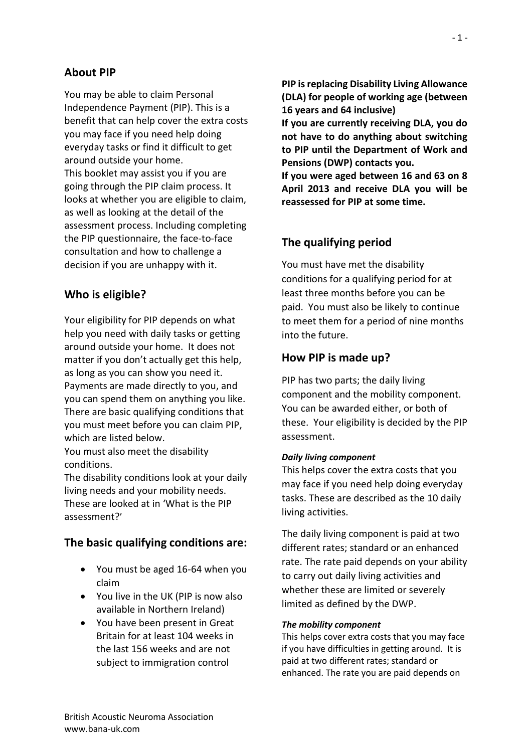# **About PIP**

You may be able to claim Personal Independence Payment (PIP). This is a benefit that can help cover the extra costs you may face if you need help doing everyday tasks or find it difficult to get around outside your home. This booklet may assist you if you are going through the PIP claim process. It looks at whether you are eligible to claim, as well as looking at the detail of the assessment process. Including completing the PIP questionnaire, the face-to-face consultation and how to challenge a decision if you are unhappy with it.

## **Who is eligible?**

Your eligibility for PIP depends on what help you need with daily tasks or getting around outside your home. It does not matter if you don't actually get this help, as long as you can show you need it. Payments are made directly to you, and you can spend them on anything you like. There are basic qualifying conditions that you must meet before you can claim PIP, which are listed below.

You must also meet the disability conditions.

The disability conditions look at your daily living needs and your mobility needs. These are looked at in 'What is the PIP assessment?'

### **The basic qualifying conditions are:**

- You must be aged 16-64 when you claim
- You live in the UK (PIP is now also available in Northern Ireland)
- You have been present in Great Britain for at least 104 weeks in the last 156 weeks and are not subject to immigration control

**PIP is replacing Disability Living Allowance (DLA) for people of working age (between 16 years and 64 inclusive)**

**If you are currently receiving DLA, you do not have to do anything about switching to PIP until the Department of Work and Pensions (DWP) contacts you.**

**If you were aged between 16 and 63 on 8 April 2013 and receive DLA you will be reassessed for PIP at some time.**

### **The qualifying period**

You must have met the disability conditions for a qualifying period for at least three months before you can be paid. You must also be likely to continue to meet them for a period of nine months into the future.

### **How PIP is made up?**

PIP has two parts; the daily living component and the mobility component. You can be awarded either, or both of these. Your eligibility is decided by the PIP assessment.

#### *Daily living component*

This helps cover the extra costs that you may face if you need help doing everyday tasks. These are described as the 10 daily living activities.

The daily living component is paid at two different rates; standard or an enhanced rate. The rate paid depends on your ability to carry out daily living activities and whether these are limited or severely limited as defined by the DWP.

#### *The mobility component*

This helps cover extra costs that you may face if you have difficulties in getting around. It is paid at two different rates; standard or enhanced. The rate you are paid depends on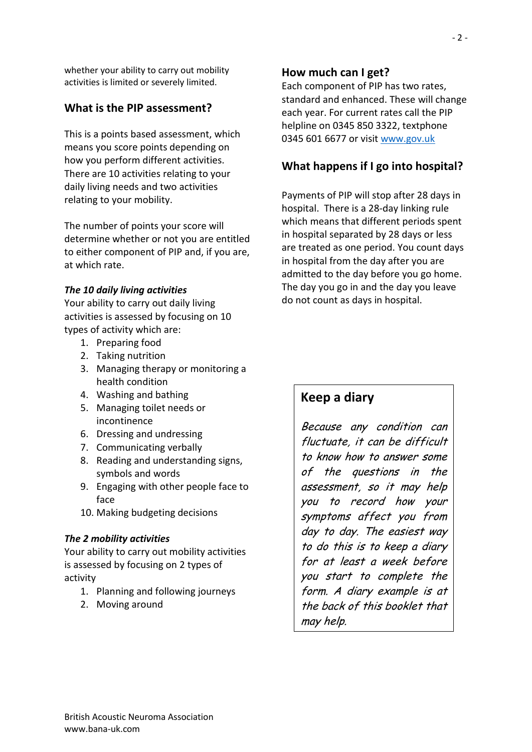whether your ability to carry out mobility activities is limited or severely limited.

# **What is the PIP assessment?**

This is a points based assessment, which means you score points depending on how you perform different activities. There are 10 activities relating to your daily living needs and two activities relating to your mobility.

The number of points your score will determine whether or not you are entitled to either component of PIP and, if you are, at which rate.

### *The 10 daily living activities*

Your ability to carry out daily living activities is assessed by focusing on 10 types of activity which are:

- 1. Preparing food
- 2. Taking nutrition
- 3. Managing therapy or monitoring a health condition
- 4. Washing and bathing
- 5. Managing toilet needs or incontinence
- 6. Dressing and undressing
- 7. Communicating verbally
- 8. Reading and understanding signs, symbols and words
- 9. Engaging with other people face to face
- 10. Making budgeting decisions

### *The 2 mobility activities*

Your ability to carry out mobility activities is assessed by focusing on 2 types of activity

- 1. Planning and following journeys
- 2. Moving around

# **How much can I get?**

Each component of PIP has two rates, standard and enhanced. These will change each year. For current rates call the PIP helpline on 0345 850 3322, textphone 0345 601 6677 or visit [www.gov.uk](http://www.gov.uk/)

# **What happens if I go into hospital?**

Payments of PIP will stop after 28 days in hospital. There is a 28-day linking rule which means that different periods spent in hospital separated by 28 days or less are treated as one period. You count days in hospital from the day after you are admitted to the day before you go home. The day you go in and the day you leave do not count as days in hospital.

# **Keep a diary**

Because any condition can fluctuate, it can be difficult to know how to answer some of the questions in the assessment, so it may help you to record how your symptoms affect you from day to day. The easiest way to do this is to keep a diary for at least a week before you start to complete the form. A diary example is at the back of this booklet that may help.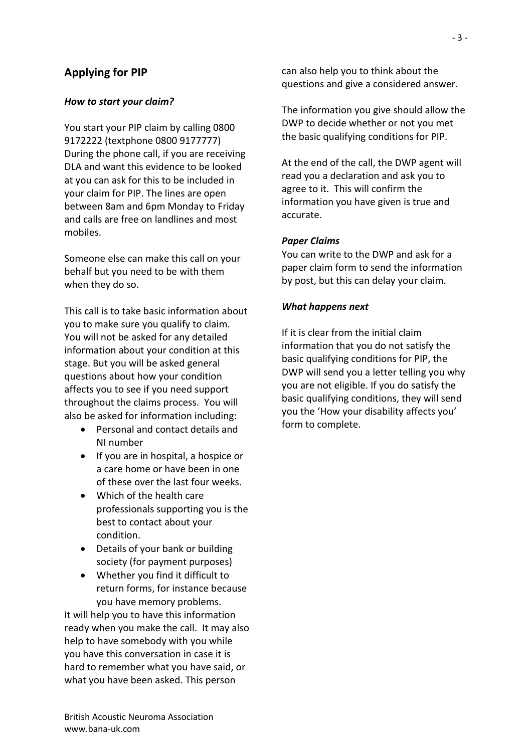# **Applying for PIP**

### *How to start your claim?*

You start your PIP claim by calling 0800 9172222 (textphone 0800 9177777) During the phone call, if you are receiving DLA and want this evidence to be looked at you can ask for this to be included in your claim for PIP. The lines are open between 8am and 6pm Monday to Friday and calls are free on landlines and most mobiles.

Someone else can make this call on your behalf but you need to be with them when they do so.

This call is to take basic information about you to make sure you qualify to claim. You will not be asked for any detailed information about your condition at this stage. But you will be asked general questions about how your condition affects you to see if you need support throughout the claims process. You will also be asked for information including:

- Personal and contact details and NI number
- If you are in hospital, a hospice or a care home or have been in one of these over the last four weeks.
- Which of the health care professionals supporting you is the best to contact about your condition.
- Details of your bank or building society (for payment purposes)
- Whether you find it difficult to return forms, for instance because you have memory problems.

It will help you to have this information ready when you make the call. It may also help to have somebody with you while you have this conversation in case it is hard to remember what you have said, or what you have been asked. This person

can also help you to think about the questions and give a considered answer.

The information you give should allow the DWP to decide whether or not you met the basic qualifying conditions for PIP.

At the end of the call, the DWP agent will read you a declaration and ask you to agree to it. This will confirm the information you have given is true and accurate.

### *Paper Claims*

You can write to the DWP and ask for a paper claim form to send the information by post, but this can delay your claim.

### *What happens next*

If it is clear from the initial claim information that you do not satisfy the basic qualifying conditions for PIP, the DWP will send you a letter telling you why you are not eligible. If you do satisfy the basic qualifying conditions, they will send you the 'How your disability affects you' form to complete.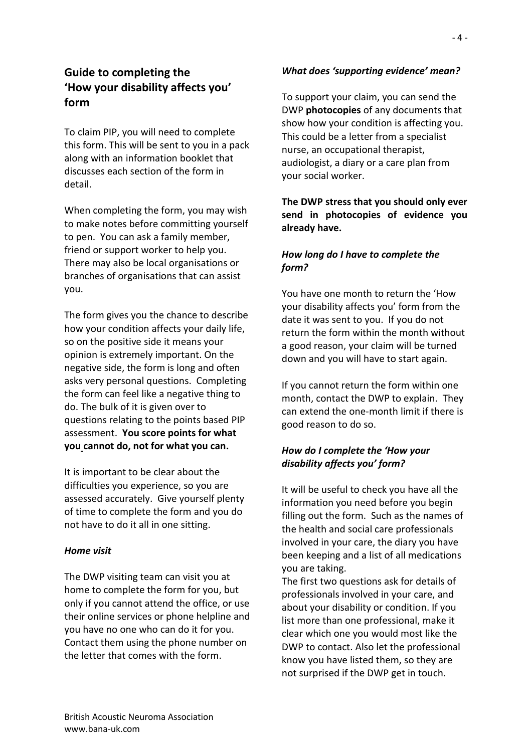# **Guide to completing the 'How your disability affects you' form**

To claim PIP, you will need to complete this form. This will be sent to you in a pack along with an information booklet that discusses each section of the form in detail.

When completing the form, you may wish to make notes before committing yourself to pen. You can ask a family member, friend or support worker to help you. There may also be local organisations or branches of organisations that can assist you.

The form gives you the chance to describe how your condition affects your daily life, so on the positive side it means your opinion is extremely important. On the negative side, the form is long and often asks very personal questions. Completing the form can feel like a negative thing to do. The bulk of it is given over to questions relating to the points based PIP assessment. **You score points for what you cannot do, not for what you can.**

It is important to be clear about the difficulties you experience, so you are assessed accurately. Give yourself plenty of time to complete the form and you do not have to do it all in one sitting.

### *Home visit*

The DWP visiting team can visit you at home to complete the form for you, but only if you cannot attend the office, or use their online services or phone helpline and you have no one who can do it for you. Contact them using the phone number on the letter that comes with the form.

### *What does 'supporting evidence' mean?*

To support your claim, you can send the DWP **photocopies** of any documents that show how your condition is affecting you. This could be a letter from a specialist nurse, an occupational therapist, audiologist, a diary or a care plan from your social worker.

## **The DWP stress that you should only ever send in photocopies of evidence you already have.**

## *How long do I have to complete the form?*

You have one month to return the 'How your disability affects you' form from the date it was sent to you. If you do not return the form within the month without a good reason, your claim will be turned down and you will have to start again.

If you cannot return the form within one month, contact the DWP to explain. They can extend the one-month limit if there is good reason to do so.

### *How do I complete the 'How your disability affects you' form?*

It will be useful to check you have all the information you need before you begin filling out the form. Such as the names of the health and social care professionals involved in your care, the diary you have been keeping and a list of all medications you are taking.

The first two questions ask for details of professionals involved in your care, and about your disability or condition. If you list more than one professional, make it clear which one you would most like the DWP to contact. Also let the professional know you have listed them, so they are not surprised if the DWP get in touch.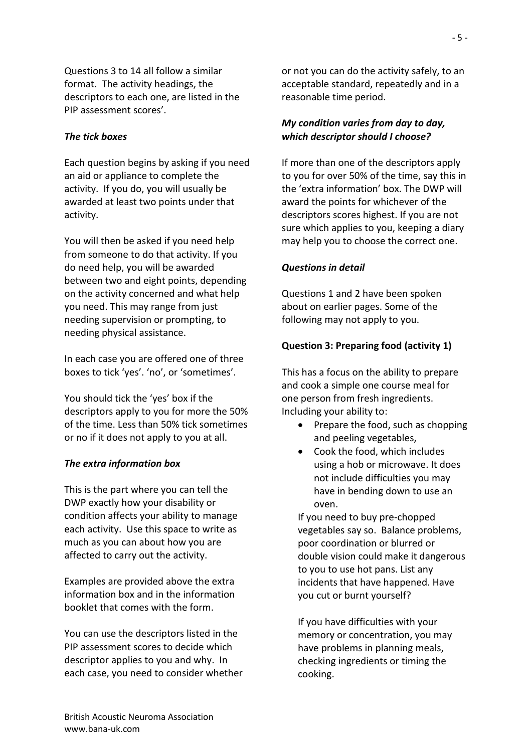Questions 3 to 14 all follow a similar format. The activity headings, the descriptors to each one, are listed in the PIP assessment scores'.

#### *The tick boxes*

Each question begins by asking if you need an aid or appliance to complete the activity. If you do, you will usually be awarded at least two points under that activity.

You will then be asked if you need help from someone to do that activity. If you do need help, you will be awarded between two and eight points, depending on the activity concerned and what help you need. This may range from just needing supervision or prompting, to needing physical assistance.

In each case you are offered one of three boxes to tick 'yes'. 'no', or 'sometimes'.

You should tick the 'yes' box if the descriptors apply to you for more the 50% of the time. Less than 50% tick sometimes or no if it does not apply to you at all.

#### *The extra information box*

This is the part where you can tell the DWP exactly how your disability or condition affects your ability to manage each activity. Use this space to write as much as you can about how you are affected to carry out the activity.

Examples are provided above the extra information box and in the information booklet that comes with the form.

You can use the descriptors listed in the PIP assessment scores to decide which descriptor applies to you and why. In each case, you need to consider whether or not you can do the activity safely, to an acceptable standard, repeatedly and in a reasonable time period.

### *My condition varies from day to day, which descriptor should I choose?*

If more than one of the descriptors apply to you for over 50% of the time, say this in the 'extra information' box. The DWP will award the points for whichever of the descriptors scores highest. If you are not sure which applies to you, keeping a diary may help you to choose the correct one.

#### *Questions in detail*

Questions 1 and 2 have been spoken about on earlier pages. Some of the following may not apply to you.

#### **Question 3: Preparing food (activity 1)**

This has a focus on the ability to prepare and cook a simple one course meal for one person from fresh ingredients. Including your ability to:

- Prepare the food, such as chopping and peeling vegetables,
- Cook the food, which includes using a hob or microwave. It does not include difficulties you may have in bending down to use an oven.

If you need to buy pre-chopped vegetables say so. Balance problems, poor coordination or blurred or double vision could make it dangerous to you to use hot pans. List any incidents that have happened. Have you cut or burnt yourself?

If you have difficulties with your memory or concentration, you may have problems in planning meals, checking ingredients or timing the cooking.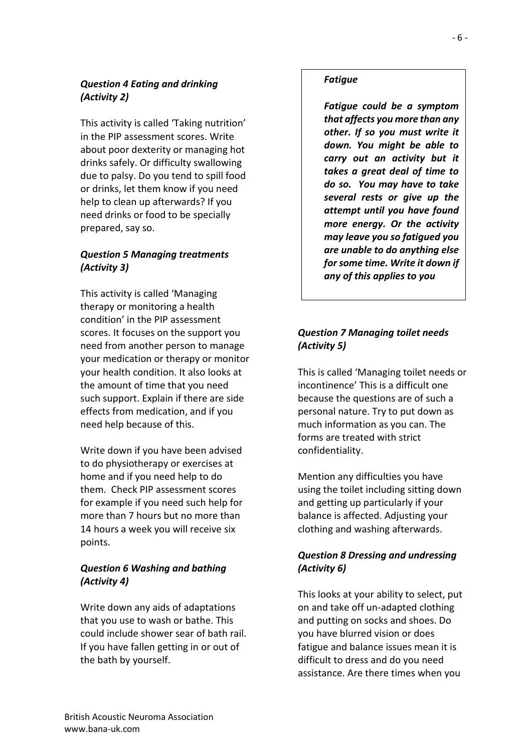## *Question 4 Eating and drinking (Activity 2)*

This activity is called 'Taking nutrition' in the PIP assessment scores. Write about poor dexterity or managing hot drinks safely. Or difficulty swallowing due to palsy. Do you tend to spill food or drinks, let them know if you need help to clean up afterwards? If you need drinks or food to be specially prepared, say so.

## *Question 5 Managing treatments (Activity 3)*

This activity is called 'Managing therapy or monitoring a health condition' in the PIP assessment scores. It focuses on the support you need from another person to manage your medication or therapy or monitor your health condition. It also looks at the amount of time that you need such support. Explain if there are side effects from medication, and if you need help because of this.

Write down if you have been advised to do physiotherapy or exercises at home and if you need help to do them. Check PIP assessment scores for example if you need such help for more than 7 hours but no more than 14 hours a week you will receive six points.

# *Question 6 Washing and bathing (Activity 4)*

Write down any aids of adaptations that you use to wash or bathe. This could include shower sear of bath rail. If you have fallen getting in or out of the bath by yourself.

# *Fatigue*

*Fatigue could be a symptom that affects you more than any other. If so you must write it down. You might be able to carry out an activity but it takes a great deal of time to do so. You may have to take several rests or give up the attempt until you have found more energy. Or the activity may leave you so fatigued you are unable to do anything else for some time. Write it down if any of this applies to you*

# *Question 7 Managing toilet needs (Activity 5)*

This is called 'Managing toilet needs or incontinence' This is a difficult one because the questions are of such a personal nature. Try to put down as much information as you can. The forms are treated with strict confidentiality.

Mention any difficulties you have using the toilet including sitting down and getting up particularly if your balance is affected. Adjusting your clothing and washing afterwards.

# *Question 8 Dressing and undressing (Activity 6)*

This looks at your ability to select, put on and take off un-adapted clothing and putting on socks and shoes. Do you have blurred vision or does fatigue and balance issues mean it is difficult to dress and do you need assistance. Are there times when you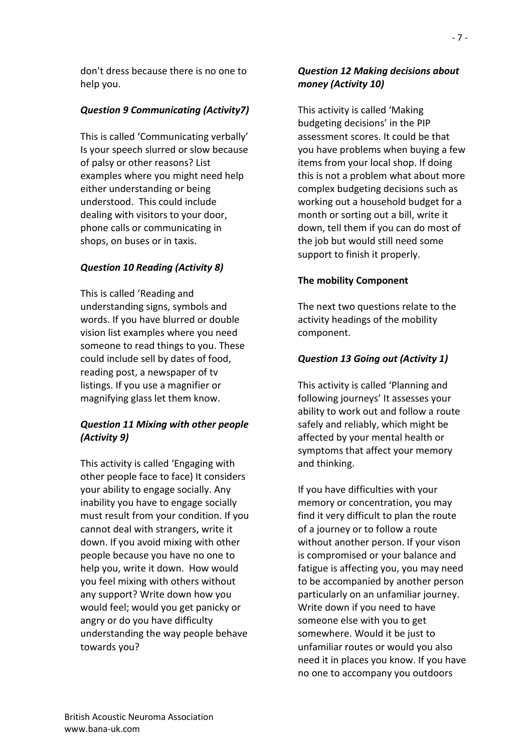don't dress because there is no one to help you.

# *Question 9 Communicating (Activity7)*

This is called 'Communicating verbally' Is your speech slurred or slow because of palsy or other reasons? List examples where you might need help either understanding or being understood. This could include dealing with visitors to your door, phone calls or communicating in shops, on buses or in taxis.

## *Question 10 Reading (Activity 8)*

This is called 'Reading and understanding signs, symbols and words. If you have blurred or double vision list examples where you need someone to read things to you. These could include sell by dates of food, reading post, a newspaper of tv listings. If you use a magnifier or magnifying glass let them know.

# *Question 11 Mixing with other people (Activity 9)*

This activity is called 'Engaging with other people face to face) It considers your ability to engage socially. Any inability you have to engage socially must result from your condition. If you cannot deal with strangers, write it down. If you avoid mixing with other people because you have no one to help you, write it down. How would you feel mixing with others without any support? Write down how you would feel; would you get panicky or angry or do you have difficulty understanding the way people behave towards you?

## *Question 12 Making decisions about money (Activity 10)*

This activity is called 'Making budgeting decisions' in the PIP assessment scores. It could be that you have problems when buying a few items from your local shop. If doing this is not a problem what about more complex budgeting decisions such as working out a household budget for a month or sorting out a bill, write it down, tell them if you can do most of the job but would still need some support to finish it properly.

## **The mobility Component**

The next two questions relate to the activity headings of the mobility component.

## *Question 13 Going out (Activity 1)*

This activity is called 'Planning and following journeys' It assesses your ability to work out and follow a route safely and reliably, which might be affected by your mental health or symptoms that affect your memory and thinking.

If you have difficulties with your memory or concentration, you may find it very difficult to plan the route of a journey or to follow a route without another person. If your vison is compromised or your balance and fatigue is affecting you, you may need to be accompanied by another person particularly on an unfamiliar journey. Write down if you need to have someone else with you to get somewhere. Would it be just to unfamiliar routes or would you also need it in places you know. If you have no one to accompany you outdoors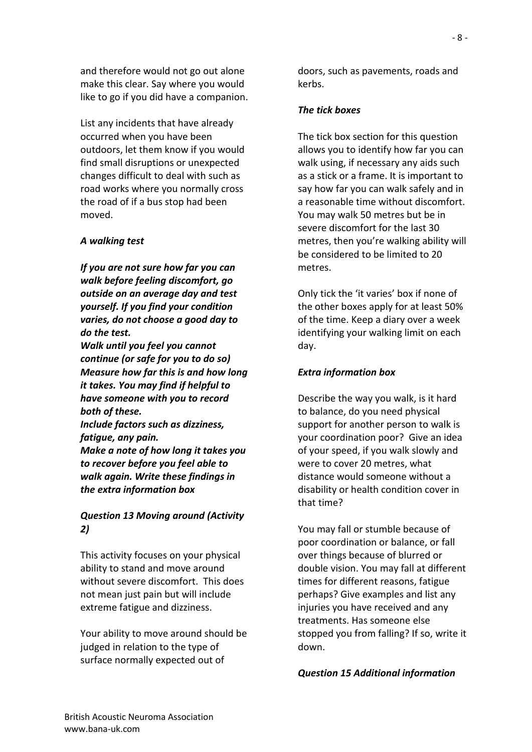and therefore would not go out alone make this clear. Say where you would like to go if you did have a companion.

List any incidents that have already occurred when you have been outdoors, let them know if you would find small disruptions or unexpected changes difficult to deal with such as road works where you normally cross the road of if a bus stop had been moved.

### *A walking test*

*If you are not sure how far you can walk before feeling discomfort, go outside on an average day and test yourself. If you find your condition varies, do not choose a good day to do the test.*

*Walk until you feel you cannot continue (or safe for you to do so) Measure how far this is and how long it takes. You may find if helpful to have someone with you to record both of these.*

*Include factors such as dizziness, fatigue, any pain. Make a note of how long it takes you to recover before you feel able to walk again. Write these findings in the extra information box*

## *Question 13 Moving around (Activity 2)*

This activity focuses on your physical ability to stand and move around without severe discomfort. This does not mean just pain but will include extreme fatigue and dizziness.

Your ability to move around should be judged in relation to the type of surface normally expected out of

doors, such as pavements, roads and kerbs.

#### *The tick boxes*

The tick box section for this question allows you to identify how far you can walk using, if necessary any aids such as a stick or a frame. It is important to say how far you can walk safely and in a reasonable time without discomfort. You may walk 50 metres but be in severe discomfort for the last 30 metres, then you're walking ability will be considered to be limited to 20 metres.

Only tick the 'it varies' box if none of the other boxes apply for at least 50% of the time. Keep a diary over a week identifying your walking limit on each day.

#### *Extra information box*

Describe the way you walk, is it hard to balance, do you need physical support for another person to walk is your coordination poor? Give an idea of your speed, if you walk slowly and were to cover 20 metres, what distance would someone without a disability or health condition cover in that time?

You may fall or stumble because of poor coordination or balance, or fall over things because of blurred or double vision. You may fall at different times for different reasons, fatigue perhaps? Give examples and list any injuries you have received and any treatments. Has someone else stopped you from falling? If so, write it down.

#### *Question 15 Additional information*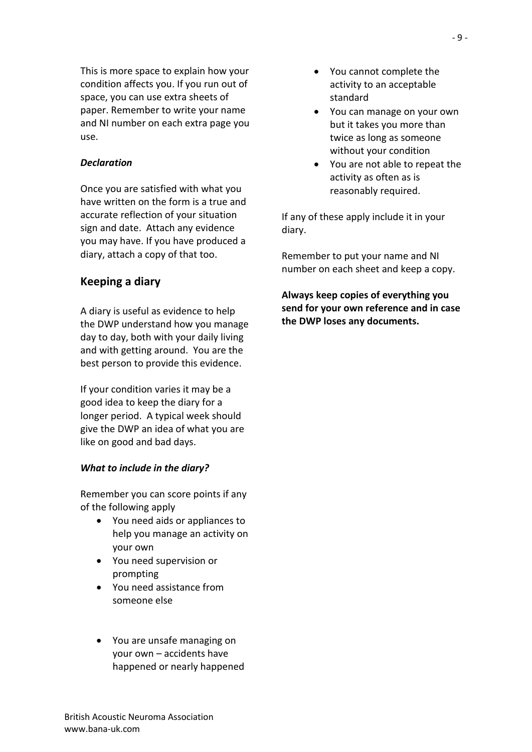This is more space to explain how your condition affects you. If you run out of space, you can use extra sheets of paper. Remember to write your name and NI number on each extra page you use.

### *Declaration*

Once you are satisfied with what you have written on the form is a true and accurate reflection of your situation sign and date. Attach any evidence you may have. If you have produced a diary, attach a copy of that too.

### **Keeping a diary**

A diary is useful as evidence to help the DWP understand how you manage day to day, both with your daily living and with getting around. You are the best person to provide this evidence.

If your condition varies it may be a good idea to keep the diary for a longer period. A typical week should give the DWP an idea of what you are like on good and bad days.

#### *What to include in the diary?*

Remember you can score points if any of the following apply

- You need aids or appliances to help you manage an activity on your own
- You need supervision or prompting
- You need assistance from someone else
- You are unsafe managing on your own – accidents have happened or nearly happened
- You cannot complete the activity to an acceptable standard
- You can manage on your own but it takes you more than twice as long as someone without your condition
- You are not able to repeat the activity as often as is reasonably required.

If any of these apply include it in your diary.

Remember to put your name and NI number on each sheet and keep a copy.

**Always keep copies of everything you send for your own reference and in case the DWP loses any documents.**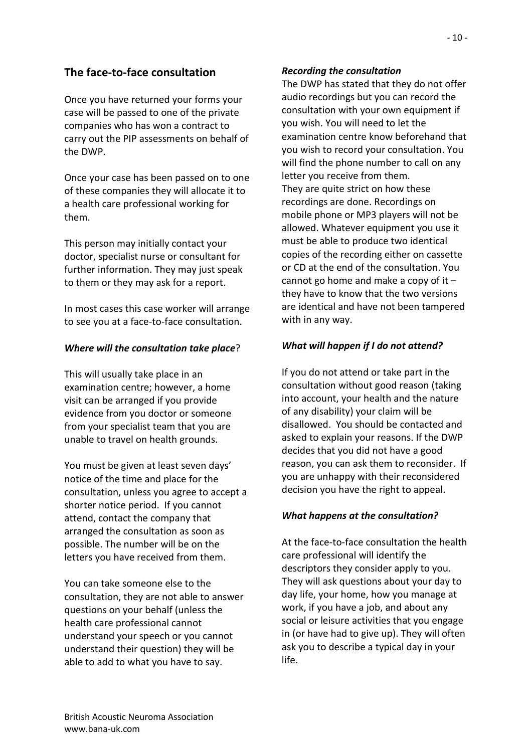# **The face-to-face consultation**

Once you have returned your forms your case will be passed to one of the private companies who has won a contract to carry out the PIP assessments on behalf of the DWP.

Once your case has been passed on to one of these companies they will allocate it to a health care professional working for them.

This person may initially contact your doctor, specialist nurse or consultant for further information. They may just speak to them or they may ask for a report.

In most cases this case worker will arrange to see you at a face-to-face consultation.

## *Where will the consultation take place*?

This will usually take place in an examination centre; however, a home visit can be arranged if you provide evidence from you doctor or someone from your specialist team that you are unable to travel on health grounds.

You must be given at least seven days' notice of the time and place for the consultation, unless you agree to accept a shorter notice period. If you cannot attend, contact the company that arranged the consultation as soon as possible. The number will be on the letters you have received from them.

You can take someone else to the consultation, they are not able to answer questions on your behalf (unless the health care professional cannot understand your speech or you cannot understand their question) they will be able to add to what you have to say.

### *Recording the consultation*

The DWP has stated that they do not offer audio recordings but you can record the consultation with your own equipment if you wish. You will need to let the examination centre know beforehand that you wish to record your consultation. You will find the phone number to call on any letter you receive from them. They are quite strict on how these recordings are done. Recordings on mobile phone or MP3 players will not be allowed. Whatever equipment you use it must be able to produce two identical copies of the recording either on cassette or CD at the end of the consultation. You cannot go home and make a copy of it  $$ they have to know that the two versions are identical and have not been tampered with in any way.

## *What will happen if I do not attend?*

If you do not attend or take part in the consultation without good reason (taking into account, your health and the nature of any disability) your claim will be disallowed. You should be contacted and asked to explain your reasons. If the DWP decides that you did not have a good reason, you can ask them to reconsider. If you are unhappy with their reconsidered decision you have the right to appeal.

## *What happens at the consultation?*

At the face-to-face consultation the health care professional will identify the descriptors they consider apply to you. They will ask questions about your day to day life, your home, how you manage at work, if you have a job, and about any social or leisure activities that you engage in (or have had to give up). They will often ask you to describe a typical day in your life.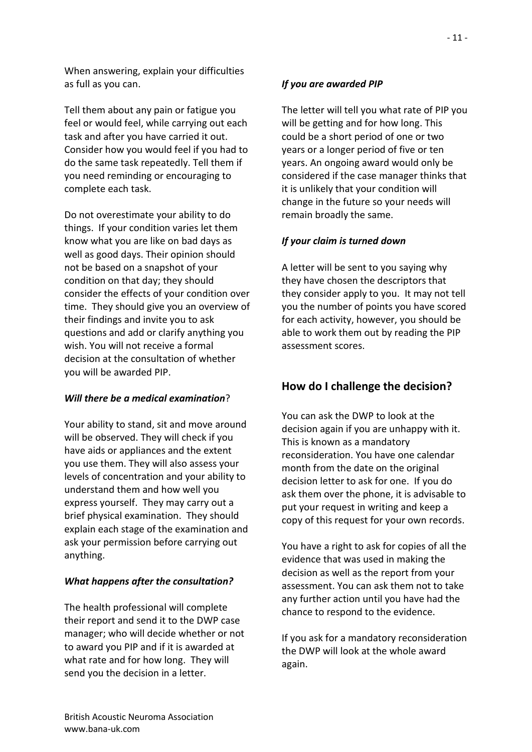When answering, explain your difficulties as full as you can.

Tell them about any pain or fatigue you feel or would feel, while carrying out each task and after you have carried it out. Consider how you would feel if you had to do the same task repeatedly. Tell them if you need reminding or encouraging to complete each task.

Do not overestimate your ability to do things. If your condition varies let them know what you are like on bad days as well as good days. Their opinion should not be based on a snapshot of your condition on that day; they should consider the effects of your condition over time. They should give you an overview of their findings and invite you to ask questions and add or clarify anything you wish. You will not receive a formal decision at the consultation of whether you will be awarded PIP.

### *Will there be a medical examination*?

Your ability to stand, sit and move around will be observed. They will check if you have aids or appliances and the extent you use them. They will also assess your levels of concentration and your ability to understand them and how well you express yourself. They may carry out a brief physical examination. They should explain each stage of the examination and ask your permission before carrying out anything.

#### *What happens after the consultation?*

The health professional will complete their report and send it to the DWP case manager; who will decide whether or not to award you PIP and if it is awarded at what rate and for how long. They will send you the decision in a letter.

#### *If you are awarded PIP*

The letter will tell you what rate of PIP you will be getting and for how long. This could be a short period of one or two years or a longer period of five or ten years. An ongoing award would only be considered if the case manager thinks that it is unlikely that your condition will change in the future so your needs will remain broadly the same.

#### *If your claim is turned down*

A letter will be sent to you saying why they have chosen the descriptors that they consider apply to you. It may not tell you the number of points you have scored for each activity, however, you should be able to work them out by reading the PIP assessment scores.

## **How do I challenge the decision?**

You can ask the DWP to look at the decision again if you are unhappy with it. This is known as a mandatory reconsideration. You have one calendar month from the date on the original decision letter to ask for one. If you do ask them over the phone, it is advisable to put your request in writing and keep a copy of this request for your own records.

You have a right to ask for copies of all the evidence that was used in making the decision as well as the report from your assessment. You can ask them not to take any further action until you have had the chance to respond to the evidence.

If you ask for a mandatory reconsideration the DWP will look at the whole award again.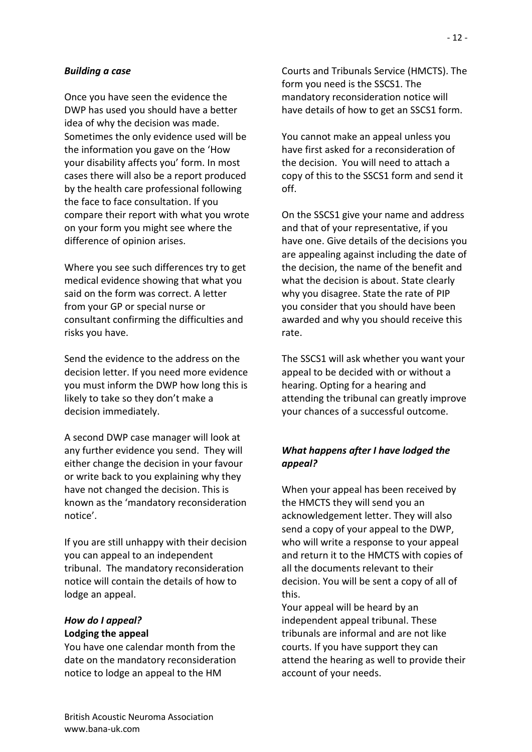#### *Building a case*

Once you have seen the evidence the DWP has used you should have a better idea of why the decision was made. Sometimes the only evidence used will be the information you gave on the 'How your disability affects you' form. In most cases there will also be a report produced by the health care professional following the face to face consultation. If you compare their report with what you wrote on your form you might see where the difference of opinion arises.

Where you see such differences try to get medical evidence showing that what you said on the form was correct. A letter from your GP or special nurse or consultant confirming the difficulties and risks you have.

Send the evidence to the address on the decision letter. If you need more evidence you must inform the DWP how long this is likely to take so they don't make a decision immediately.

A second DWP case manager will look at any further evidence you send. They will either change the decision in your favour or write back to you explaining why they have not changed the decision. This is known as the 'mandatory reconsideration notice'.

If you are still unhappy with their decision you can appeal to an independent tribunal. The mandatory reconsideration notice will contain the details of how to lodge an appeal.

### *How do I appeal?* **Lodging the appeal**

You have one calendar month from the date on the mandatory reconsideration notice to lodge an appeal to the HM

Courts and Tribunals Service (HMCTS). The form you need is the SSCS1. The mandatory reconsideration notice will have details of how to get an SSCS1 form.

You cannot make an appeal unless you have first asked for a reconsideration of the decision. You will need to attach a copy of this to the SSCS1 form and send it off.

On the SSCS1 give your name and address and that of your representative, if you have one. Give details of the decisions you are appealing against including the date of the decision, the name of the benefit and what the decision is about. State clearly why you disagree. State the rate of PIP you consider that you should have been awarded and why you should receive this rate.

The SSCS1 will ask whether you want your appeal to be decided with or without a hearing. Opting for a hearing and attending the tribunal can greatly improve your chances of a successful outcome.

### *What happens after I have lodged the appeal?*

When your appeal has been received by the HMCTS they will send you an acknowledgement letter. They will also send a copy of your appeal to the DWP, who will write a response to your appeal and return it to the HMCTS with copies of all the documents relevant to their decision. You will be sent a copy of all of this.

Your appeal will be heard by an independent appeal tribunal. These tribunals are informal and are not like courts. If you have support they can attend the hearing as well to provide their account of your needs.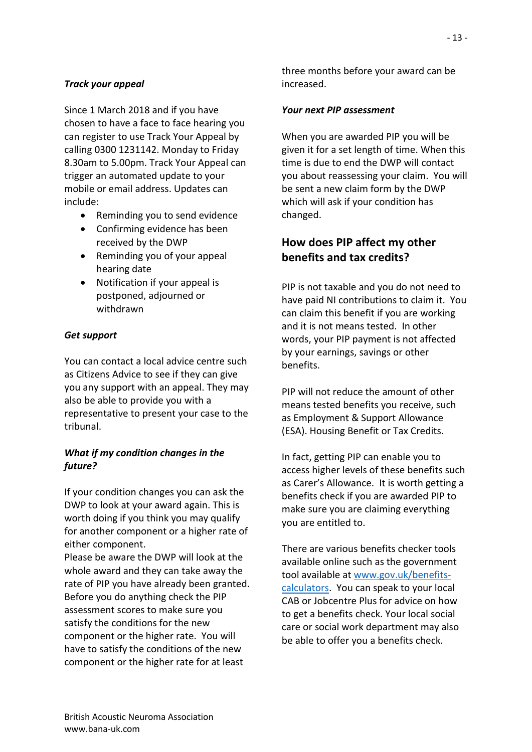# *Track your appeal*

Since 1 March 2018 and if you have chosen to have a face to face hearing you can register to use Track Your Appeal by calling 0300 1231142. Monday to Friday 8.30am to 5.00pm. Track Your Appeal can trigger an automated update to your mobile or email address. Updates can include:

- Reminding you to send evidence
- Confirming evidence has been received by the DWP
- Reminding you of your appeal hearing date
- Notification if your appeal is postponed, adjourned or withdrawn

# *Get support*

You can contact a local advice centre such as Citizens Advice to see if they can give you any support with an appeal. They may also be able to provide you with a representative to present your case to the tribunal.

# *What if my condition changes in the future?*

If your condition changes you can ask the DWP to look at your award again. This is worth doing if you think you may qualify for another component or a higher rate of either component.

Please be aware the DWP will look at the whole award and they can take away the rate of PIP you have already been granted. Before you do anything check the PIP assessment scores to make sure you satisfy the conditions for the new component or the higher rate. You will have to satisfy the conditions of the new component or the higher rate for at least

three months before your award can be increased.

# *Your next PIP assessment*

When you are awarded PIP you will be given it for a set length of time. When this time is due to end the DWP will contact you about reassessing your claim. You will be sent a new claim form by the DWP which will ask if your condition has changed.

# **How does PIP affect my other benefits and tax credits?**

PIP is not taxable and you do not need to have paid NI contributions to claim it. You can claim this benefit if you are working and it is not means tested. In other words, your PIP payment is not affected by your earnings, savings or other benefits.

PIP will not reduce the amount of other means tested benefits you receive, such as Employment & Support Allowance (ESA). Housing Benefit or Tax Credits.

In fact, getting PIP can enable you to access higher levels of these benefits such as Carer's Allowance. It is worth getting a benefits check if you are awarded PIP to make sure you are claiming everything you are entitled to.

There are various benefits checker tools available online such as the government tool available at [www.gov.uk/benefits](http://www.gov.uk/benefits-calculators)[calculators.](http://www.gov.uk/benefits-calculators) You can speak to your local CAB or Jobcentre Plus for advice on how to get a benefits check. Your local social care or social work department may also be able to offer you a benefits check.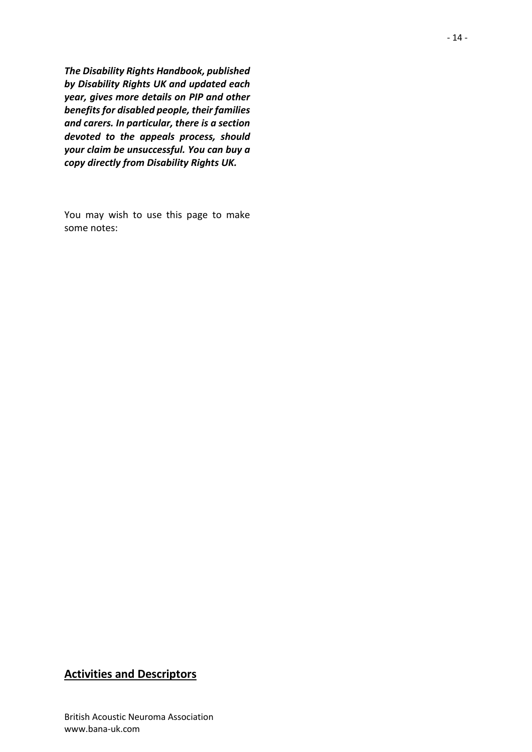*The Disability Rights Handbook, published by Disability Rights UK and updated each year, gives more details on PIP and other benefits for disabled people, their families and carers. In particular, there is a section devoted to the appeals process, should your claim be unsuccessful. You can buy a copy directly from Disability Rights UK.*

You may wish to use this page to make some notes:

# **Activities and Descriptors**

British Acoustic Neuroma Association www.bana-uk.com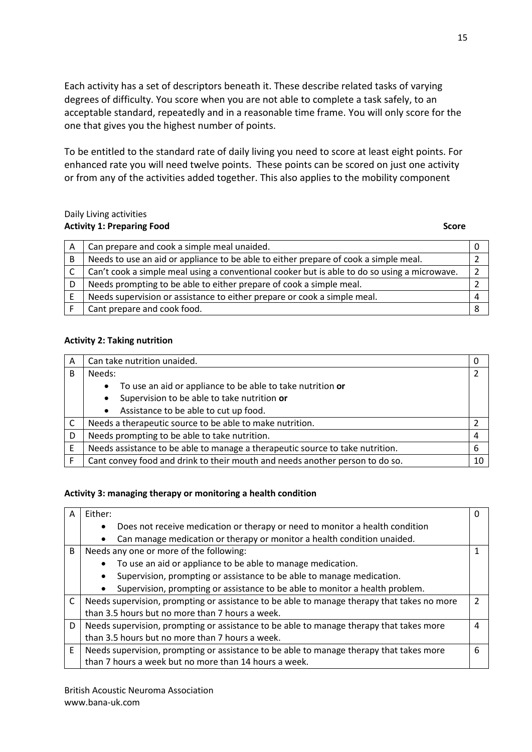Each activity has a set of descriptors beneath it. These describe related tasks of varying degrees of difficulty. You score when you are not able to complete a task safely, to an acceptable standard, repeatedly and in a reasonable time frame. You will only score for the one that gives you the highest number of points.

To be entitled to the standard rate of daily living you need to score at least eight points. For enhanced rate you will need twelve points. These points can be scored on just one activity or from any of the activities added together. This also applies to the mobility component

#### Daily Living activities **Activity 1: Preparing Food** Score Score Score Score Score Score Score Score Score Score Score Score Score Score Score Score Score Score Score Score Score Score Score Score Score Score Score Score Score Score Score Score S

| A | Can prepare and cook a simple meal unaided.                                                  |  |
|---|----------------------------------------------------------------------------------------------|--|
| B | Needs to use an aid or appliance to be able to either prepare of cook a simple meal.         |  |
|   | Can't cook a simple meal using a conventional cooker but is able to do so using a microwave. |  |
|   | Needs prompting to be able to either prepare of cook a simple meal.                          |  |
|   | Needs supervision or assistance to either prepare or cook a simple meal.                     |  |
|   | Cant prepare and cook food.                                                                  |  |

### **Activity 2: Taking nutrition**

| Α | Can take nutrition unaided.                                                   | 0  |
|---|-------------------------------------------------------------------------------|----|
| B | Needs:                                                                        | 2  |
|   | To use an aid or appliance to be able to take nutrition or<br>$\bullet$       |    |
|   | Supervision to be able to take nutrition or<br>$\bullet$                      |    |
|   | Assistance to be able to cut up food.<br>$\bullet$                            |    |
|   | Needs a therapeutic source to be able to make nutrition.                      |    |
| D | Needs prompting to be able to take nutrition.                                 | 4  |
| E | Needs assistance to be able to manage a therapeutic source to take nutrition. | 6  |
|   | Cant convey food and drink to their mouth and needs another person to do so.  | 10 |

### **Activity 3: managing therapy or monitoring a health condition**

| Either:                                                                                    | 0              |
|--------------------------------------------------------------------------------------------|----------------|
| Does not receive medication or therapy or need to monitor a health condition               |                |
| Can manage medication or therapy or monitor a health condition unaided.                    |                |
| Needs any one or more of the following:                                                    | 1              |
| To use an aid or appliance to be able to manage medication.                                |                |
| Supervision, prompting or assistance to be able to manage medication.                      |                |
| Supervision, prompting or assistance to be able to monitor a health problem.               |                |
| Needs supervision, prompting or assistance to be able to manage therapy that takes no more | $\mathcal{P}$  |
| than 3.5 hours but no more than 7 hours a week.                                            |                |
| Needs supervision, prompting or assistance to be able to manage therapy that takes more    | $\overline{4}$ |
| than 3.5 hours but no more than 7 hours a week.                                            |                |
| Needs supervision, prompting or assistance to be able to manage therapy that takes more    | 6              |
| than 7 hours a week but no more than 14 hours a week.                                      |                |
|                                                                                            |                |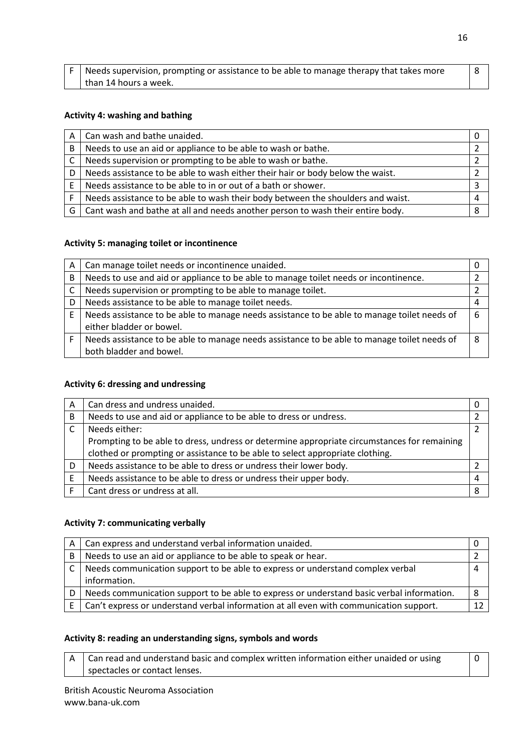| $F \mid$ Needs supervision, prompting or assistance to be able to manage therapy that takes more |  |
|--------------------------------------------------------------------------------------------------|--|
| than 14 hours a week.                                                                            |  |

#### **Activity 4: washing and bathing**

| A   | Can wash and bathe unaided.                                                     |  |
|-----|---------------------------------------------------------------------------------|--|
| B   | Needs to use an aid or appliance to be able to wash or bathe.                   |  |
| C   | Needs supervision or prompting to be able to wash or bathe.                     |  |
|     | Needs assistance to be able to wash either their hair or body below the waist.  |  |
|     | Needs assistance to be able to in or out of a bath or shower.                   |  |
|     | Needs assistance to be able to wash their body between the shoulders and waist. |  |
| G ' | Cant wash and bathe at all and needs another person to wash their entire body.  |  |

#### **Activity 5: managing toilet or incontinence**

| A | Can manage toilet needs or incontinence unaided.                                            |   |
|---|---------------------------------------------------------------------------------------------|---|
| B | Needs to use and aid or appliance to be able to manage toilet needs or incontinence.        |   |
|   | Needs supervision or prompting to be able to manage toilet.                                 |   |
| D | Needs assistance to be able to manage toilet needs.                                         | 4 |
| F | Needs assistance to be able to manage needs assistance to be able to manage toilet needs of | 6 |
|   | either bladder or bowel.                                                                    |   |
|   | Needs assistance to be able to manage needs assistance to be able to manage toilet needs of | 8 |
|   | both bladder and bowel.                                                                     |   |

#### **Activity 6: dressing and undressing**

| A | Can dress and undress unaided.                                                              |   |
|---|---------------------------------------------------------------------------------------------|---|
| B | Needs to use and aid or appliance to be able to dress or undress.                           |   |
|   | Needs either:                                                                               |   |
|   | Prompting to be able to dress, undress or determine appropriate circumstances for remaining |   |
|   | clothed or prompting or assistance to be able to select appropriate clothing.               |   |
|   | Needs assistance to be able to dress or undress their lower body.                           |   |
|   | Needs assistance to be able to dress or undress their upper body.                           | 4 |
|   | Cant dress or undress at all.                                                               | 8 |

### **Activity 7: communicating verbally**

| А | Can express and understand verbal information unaided.                                    |   |
|---|-------------------------------------------------------------------------------------------|---|
| B | Needs to use an aid or appliance to be able to speak or hear.                             |   |
|   | Needs communication support to be able to express or understand complex verbal            |   |
|   | information.                                                                              |   |
| D | Needs communication support to be able to express or understand basic verbal information. | 8 |
|   | Can't express or understand verbal information at all even with communication support.    |   |

#### **Activity 8: reading an understanding signs, symbols and words**

 $A \mid$  Can read and understand basic and complex written information either unaided or using spectacles or contact lenses. 0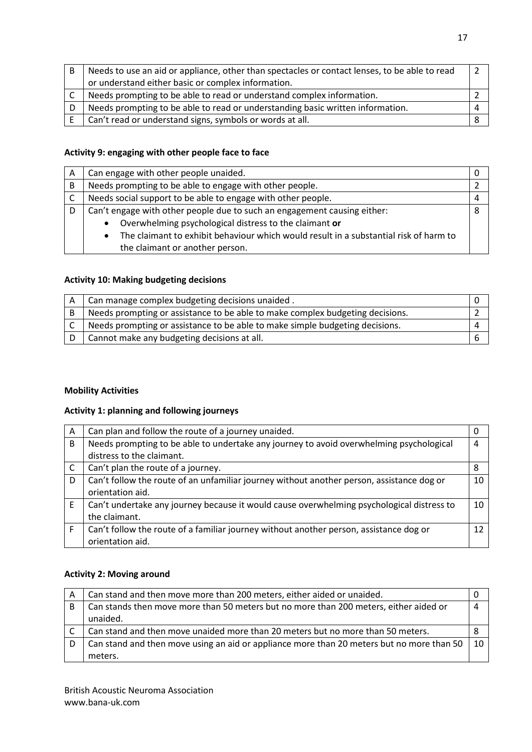| B | Needs to use an aid or appliance, other than spectacles or contact lenses, to be able to read |  |
|---|-----------------------------------------------------------------------------------------------|--|
|   | or understand either basic or complex information.                                            |  |
|   | Needs prompting to be able to read or understand complex information.                         |  |
| D | Needs prompting to be able to read or understanding basic written information.                |  |
|   | Can't read or understand signs, symbols or words at all.                                      |  |

#### **Activity 9: engaging with other people face to face**

| A | Can engage with other people unaided.                                                 |  |
|---|---------------------------------------------------------------------------------------|--|
| B | Needs prompting to be able to engage with other people.                               |  |
|   | Needs social support to be able to engage with other people.                          |  |
|   | Can't engage with other people due to such an engagement causing either:              |  |
|   | Overwhelming psychological distress to the claimant or<br>$\bullet$                   |  |
|   | The claimant to exhibit behaviour which would result in a substantial risk of harm to |  |
|   | the claimant or another person.                                                       |  |

#### **Activity 10: Making budgeting decisions**

| Can manage complex budgeting decisions unaided.                               |  |
|-------------------------------------------------------------------------------|--|
| Needs prompting or assistance to be able to make complex budgeting decisions. |  |
| Needs prompting or assistance to be able to make simple budgeting decisions.  |  |
| Cannot make any budgeting decisions at all.                                   |  |

## **Mobility Activities**

## **Activity 1: planning and following journeys**

| A | Can plan and follow the route of a journey unaided.                                       |    |
|---|-------------------------------------------------------------------------------------------|----|
| B | Needs prompting to be able to undertake any journey to avoid overwhelming psychological   |    |
|   | distress to the claimant.                                                                 |    |
| C | Can't plan the route of a journey.                                                        | 8  |
| D | Can't follow the route of an unfamiliar journey without another person, assistance dog or | 10 |
|   | orientation aid.                                                                          |    |
| Е | Can't undertake any journey because it would cause overwhelming psychological distress to | 10 |
|   | the claimant.                                                                             |    |
|   | Can't follow the route of a familiar journey without another person, assistance dog or    | 12 |
|   | orientation aid.                                                                          |    |

### **Activity 2: Moving around**

| A  | Can stand and then move more than 200 meters, either aided or unaided.                              |  |  |  |  |  |
|----|-----------------------------------------------------------------------------------------------------|--|--|--|--|--|
| B. | Can stands then move more than 50 meters but no more than 200 meters, either aided or               |  |  |  |  |  |
|    | unaided.                                                                                            |  |  |  |  |  |
|    |                                                                                                     |  |  |  |  |  |
|    | Can stand and then move unaided more than 20 meters but no more than 50 meters.                     |  |  |  |  |  |
| D  | Can stand and then move using an aid or appliance more than 20 meters but no more than 50 $\mid$ 10 |  |  |  |  |  |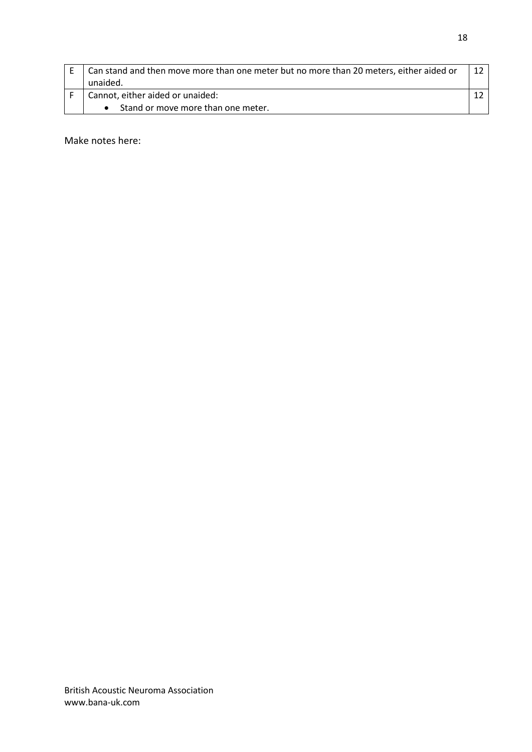| Can stand and then move more than one meter but no more than 20 meters, either aided or<br>unaided. |  |  |  |  |
|-----------------------------------------------------------------------------------------------------|--|--|--|--|
| Cannot, either aided or unaided:                                                                    |  |  |  |  |
| Stand or move more than one meter.                                                                  |  |  |  |  |

Make notes here: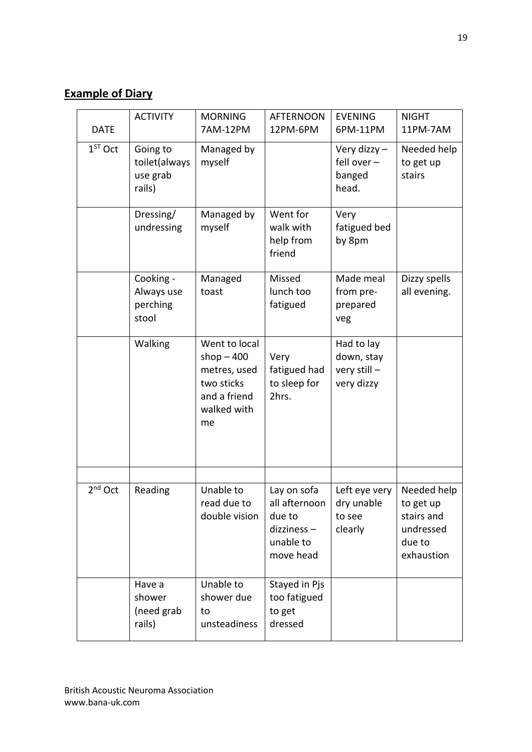# **Example of Diary**

| <b>DATE</b> | <b>ACTIVITY</b>                                 | <b>MORNING</b><br>7AM-12PM                                                                      | <b>AFTERNOON</b><br>12PM-6PM                                                   | <b>EVENING</b><br>6PM-11PM                             | <b>NIGHT</b><br>11PM-7AM                                                    |
|-------------|-------------------------------------------------|-------------------------------------------------------------------------------------------------|--------------------------------------------------------------------------------|--------------------------------------------------------|-----------------------------------------------------------------------------|
| $1ST$ Oct   | Going to<br>toilet(always<br>use grab<br>rails) | Managed by<br>myself                                                                            |                                                                                | Very dizzy $-$<br>fell over $-$<br>banged<br>head.     | Needed help<br>to get up<br>stairs                                          |
|             | Dressing/<br>undressing                         | Managed by<br>myself                                                                            | Went for<br>walk with<br>help from<br>friend                                   | Very<br>fatigued bed<br>by 8pm                         |                                                                             |
|             | Cooking -<br>Always use<br>perching<br>stool    | Managed<br>toast                                                                                | Missed<br>lunch too<br>fatigued                                                | Made meal<br>from pre-<br>prepared<br>veg              | Dizzy spells<br>all evening.                                                |
|             | Walking                                         | Went to local<br>shop $-400$<br>metres, used<br>two sticks<br>and a friend<br>walked with<br>me | Very<br>fatigued had<br>to sleep for<br>2hrs.                                  | Had to lay<br>down, stay<br>very still -<br>very dizzy |                                                                             |
| $2nd$ Oct   | Reading                                         | Unable to<br>read due to<br>double vision                                                       | Lay on sofa<br>all afternoon<br>due to<br>dizziness-<br>unable to<br>move head | Left eye very<br>dry unable<br>to see<br>clearly       | Needed help<br>to get up<br>stairs and<br>undressed<br>due to<br>exhaustion |
|             | Have a<br>shower<br>(need grab<br>rails)        | Unable to<br>shower due<br>to<br>unsteadiness                                                   | Stayed in Pjs<br>too fatigued<br>to get<br>dressed                             |                                                        |                                                                             |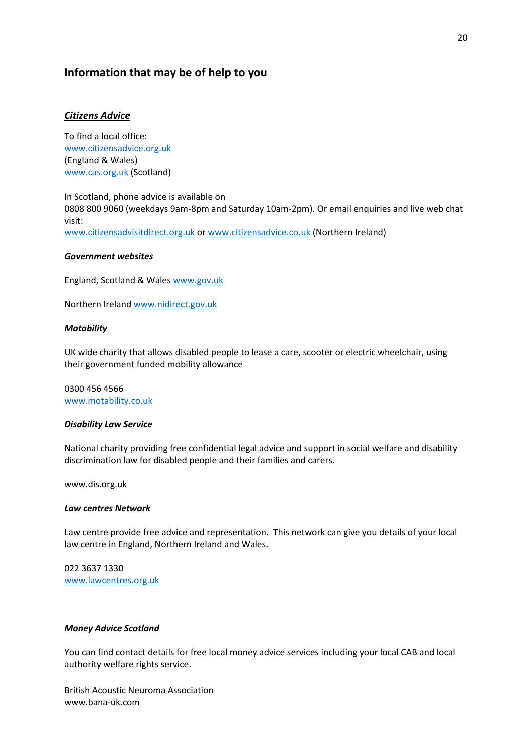# **Information that may be of help to you**

#### *Citizens Advice*

To find a local office: [www.citizensadvice.org.uk](http://www.citizensadvice.org.uk/) (England & Wales) [www.cas.org.uk](http://www.cas.org.uk/) (Scotland)

In Scotland, phone advice is available on 0808 800 9060 (weekdays 9am-8pm and Saturday 10am-2pm). Or email enquiries and live web chat visit: [www.citizensadvisitdirect.org.uk](http://www.citizensadvisitdirect.org.uk/) o[r www.citizensadvice.co.uk](http://www.citizensadvice.co.uk/) (Northern Ireland)

#### *Government websites*

England, Scotland & Wales [www.gov.uk](http://www.gov.uk/)

Northern Irelan[d www.nidirect.gov.uk](http://www.nidirect.gov.uk/)

#### *Motability*

UK wide charity that allows disabled people to lease a care, scooter or electric wheelchair, using their government funded mobility allowance

0300 456 4566 [www.motability.co.uk](http://www.motability.co.uk/)

#### *Disability Law Service*

National charity providing free confidential legal advice and support in social welfare and disability discrimination law for disabled people and their families and carers.

www.dis.org.uk

#### *Law centres Network*

Law centre provide free advice and representation. This network can give you details of your local law centre in England, Northern Ireland and Wales.

022 3637 1330 [www.lawcentres.org.uk](http://www.lawcentres.org.uk/)

#### *Money Advice Scotland*

You can find contact details for free local money advice services including your local CAB and local authority welfare rights service.

British Acoustic Neuroma Association www.bana-uk.com